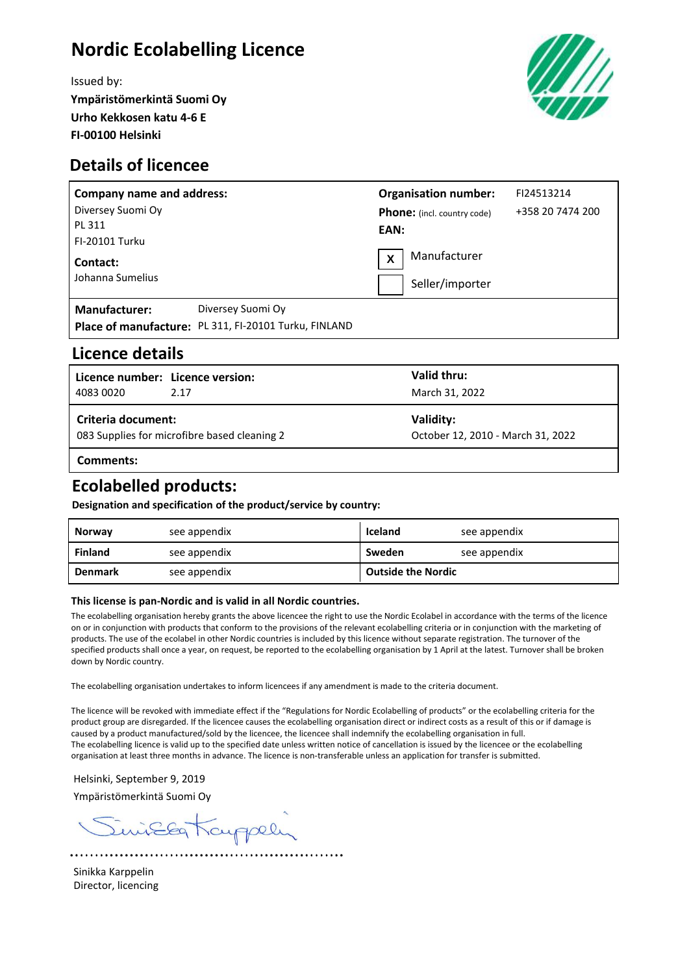# **Nordic Ecolabelling Licence**

Issued by: **Ympäristömerkintä Suomi Oy Urho Kekkosen katu 4-6 E FI-00100 Helsinki**



## **Details of licencee**

| <b>Company name and address:</b> |                                                       | <b>Organisation number:</b>        |                 | FI24513214       |  |
|----------------------------------|-------------------------------------------------------|------------------------------------|-----------------|------------------|--|
| Diversey Suomi Oy                |                                                       | <b>Phone:</b> (incl. country code) |                 | +358 20 7474 200 |  |
| PL 311                           |                                                       | EAN:                               |                 |                  |  |
| <b>FI-20101 Turku</b>            |                                                       |                                    |                 |                  |  |
| Contact:                         |                                                       | X                                  | Manufacturer    |                  |  |
| Johanna Sumelius                 |                                                       |                                    | Seller/importer |                  |  |
| Manufacturer:                    | Diversey Suomi Oy                                     |                                    |                 |                  |  |
|                                  | Place of manufacture: PL 311, FI-20101 Turku, FINLAND |                                    |                 |                  |  |

### **Licence details**

| l Licence number: Licence version:<br>4083 0020                    | 2.17 | Valid thru:<br>March 31, 2022                  |  |  |
|--------------------------------------------------------------------|------|------------------------------------------------|--|--|
| Criteria document:<br>083 Supplies for microfibre based cleaning 2 |      | Validity:<br>October 12, 2010 - March 31, 2022 |  |  |
| Comments:                                                          |      |                                                |  |  |

# **Ecolabelled products:**

**Designation and specification of the product/service by country:**

| Norway         | see appendix | Iceland                   | see appendix |
|----------------|--------------|---------------------------|--------------|
| <b>Finland</b> | see appendix | Sweden                    | see appendix |
| <b>Denmark</b> | see appendix | <b>Outside the Nordic</b> |              |

#### **This license is pan-Nordic and is valid in all Nordic countries.**

The ecolabelling organisation hereby grants the above licencee the right to use the Nordic Ecolabel in accordance with the terms of the licence on or in conjunction with products that conform to the provisions of the relevant ecolabelling criteria or in conjunction with the marketing of products. The use of the ecolabel in other Nordic countries is included by this licence without separate registration. The turnover of the specified products shall once a year, on request, be reported to the ecolabelling organisation by 1 April at the latest. Turnover shall be broken down by Nordic country.

The ecolabelling organisation undertakes to inform licencees if any amendment is made to the criteria document.

The licence will be revoked with immediate effect if the "Regulations for Nordic Ecolabelling of products" or the ecolabelling criteria for the product group are disregarded. If the licencee causes the ecolabelling organisation direct or indirect costs as a result of this or if damage is caused by a product manufactured/sold by the licencee, the licencee shall indemnify the ecolabelling organisation in full. The ecolabelling licence is valid up to the specified date unless written notice of cancellation is issued by the licencee or the ecolabelling organisation at least three months in advance. The licence is non-transferable unless an application for transfer is submitted.

Helsinki, September 9, 2019 Ympäristömerkintä Suomi Oy

iEEg Kauppely

Sinikka Karppelin Director, licencing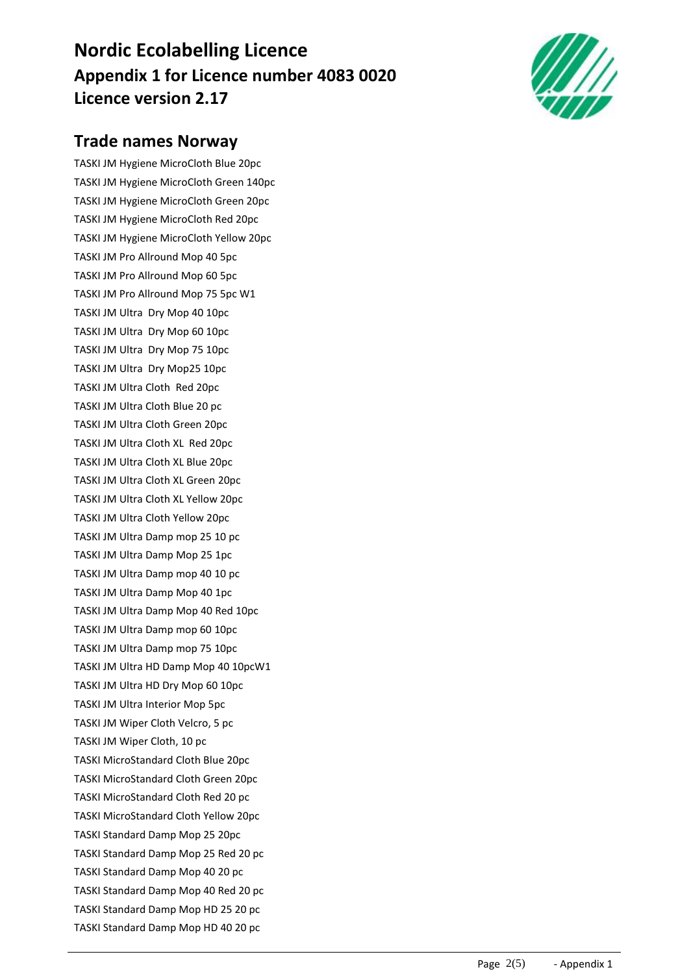# **Nordic Ecolabelling Licence Appendix 1 for Licence number 4083 0020 Licence version 2.17**



# **Trade names Norway**

TASKI JM Hygiene MicroCloth Blue 20pc TASKI JM Hygiene MicroCloth Green 140pc TASKI JM Hygiene MicroCloth Green 20pc TASKI JM Hygiene MicroCloth Red 20pc TASKI JM Hygiene MicroCloth Yellow 20pc TASKI JM Pro Allround Mop 40 5pc TASKI JM Pro Allround Mop 60 5pc TASKI JM Pro Allround Mop 75 5pc W1 TASKI JM Ultra Dry Mop 40 10pc TASKI JM Ultra Dry Mop 60 10pc TASKI JM Ultra Dry Mop 75 10pc TASKI JM Ultra Dry Mop25 10pc TASKI JM Ultra Cloth Red 20pc TASKI JM Ultra Cloth Blue 20 pc TASKI JM Ultra Cloth Green 20pc TASKI JM Ultra Cloth XL Red 20pc TASKI JM Ultra Cloth XL Blue 20pc TASKI JM Ultra Cloth XL Green 20pc TASKI JM Ultra Cloth XL Yellow 20pc TASKI JM Ultra Cloth Yellow 20pc TASKI JM Ultra Damp mop 25 10 pc TASKI JM Ultra Damp Mop 25 1pc TASKI JM Ultra Damp mop 40 10 pc TASKI JM Ultra Damp Mop 40 1pc TASKI JM Ultra Damp Mop 40 Red 10pc TASKI JM Ultra Damp mop 60 10pc TASKI JM Ultra Damp mop 75 10pc TASKI JM Ultra HD Damp Mop 40 10pcW1 TASKI JM Ultra HD Dry Mop 60 10pc TASKI JM Ultra Interior Mop 5pc TASKI JM Wiper Cloth Velcro, 5 pc TASKI JM Wiper Cloth, 10 pc TASKI MicroStandard Cloth Blue 20pc TASKI MicroStandard Cloth Green 20pc TASKI MicroStandard Cloth Red 20 pc TASKI MicroStandard Cloth Yellow 20pc TASKI Standard Damp Mop 25 20pc TASKI Standard Damp Mop 25 Red 20 pc TASKI Standard Damp Mop 40 20 pc TASKI Standard Damp Mop 40 Red 20 pc TASKI Standard Damp Mop HD 25 20 pc TASKI Standard Damp Mop HD 40 20 pc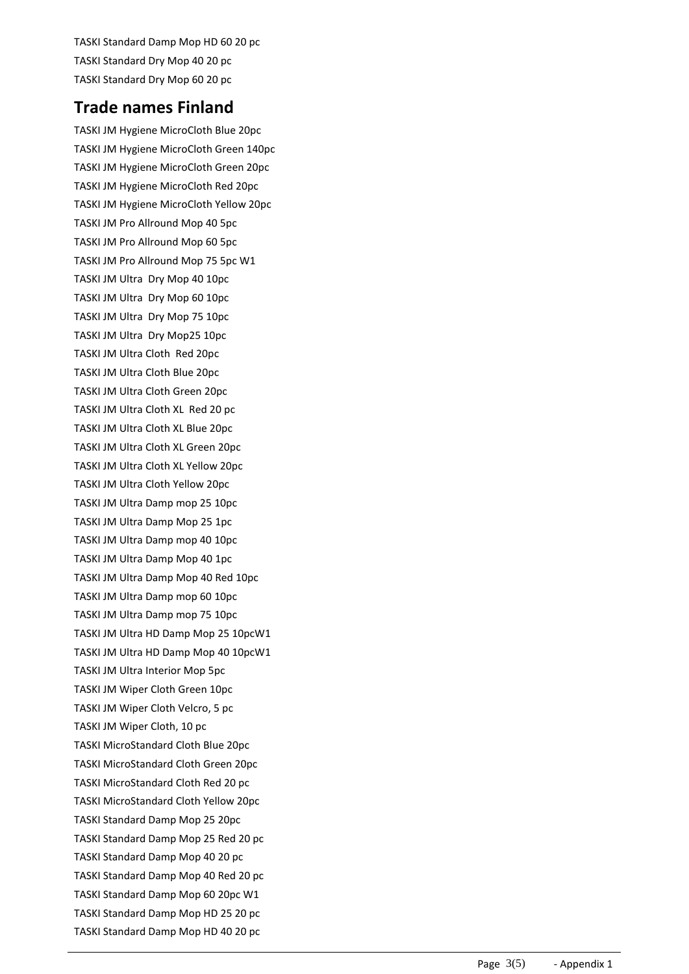TASKI Standard Damp Mop HD 60 20 pc TASKI Standard Dry Mop 40 20 pc TASKI Standard Dry Mop 60 20 pc

## **Trade names Finland**

TASKI JM Hygiene MicroCloth Blue 20pc TASKI JM Hygiene MicroCloth Green 140pc TASKI JM Hygiene MicroCloth Green 20pc TASKI JM Hygiene MicroCloth Red 20pc TASKI JM Hygiene MicroCloth Yellow 20pc TASKI JM Pro Allround Mop 40 5pc TASKI JM Pro Allround Mop 60 5pc TASKI JM Pro Allround Mop 75 5pc W1 TASKI JM Ultra Dry Mop 40 10pc TASKI JM Ultra Dry Mop 60 10pc TASKI JM Ultra Dry Mop 75 10pc TASKI JM Ultra Dry Mop25 10pc TASKI JM Ultra Cloth Red 20pc TASKI JM Ultra Cloth Blue 20pc TASKI JM Ultra Cloth Green 20pc TASKI JM Ultra Cloth XL Red 20 pc TASKI JM Ultra Cloth XL Blue 20pc TASKI JM Ultra Cloth XL Green 20pc TASKI JM Ultra Cloth XL Yellow 20pc TASKI JM Ultra Cloth Yellow 20pc TASKI JM Ultra Damp mop 25 10pc TASKI JM Ultra Damp Mop 25 1pc TASKI JM Ultra Damp mop 40 10pc TASKI JM Ultra Damp Mop 40 1pc TASKI JM Ultra Damp Mop 40 Red 10pc TASKI JM Ultra Damp mop 60 10pc TASKI JM Ultra Damp mop 75 10pc TASKI JM Ultra HD Damp Mop 25 10pcW1 TASKI JM Ultra HD Damp Mop 40 10pcW1 TASKI JM Ultra Interior Mop 5pc TASKI JM Wiper Cloth Green 10pc TASKI JM Wiper Cloth Velcro, 5 pc TASKI JM Wiper Cloth, 10 pc TASKI MicroStandard Cloth Blue 20pc TASKI MicroStandard Cloth Green 20pc TASKI MicroStandard Cloth Red 20 pc TASKI MicroStandard Cloth Yellow 20pc TASKI Standard Damp Mop 25 20pc TASKI Standard Damp Mop 25 Red 20 pc TASKI Standard Damp Mop 40 20 pc TASKI Standard Damp Mop 40 Red 20 pc TASKI Standard Damp Mop 60 20pc W1 TASKI Standard Damp Mop HD 25 20 pc TASKI Standard Damp Mop HD 40 20 pc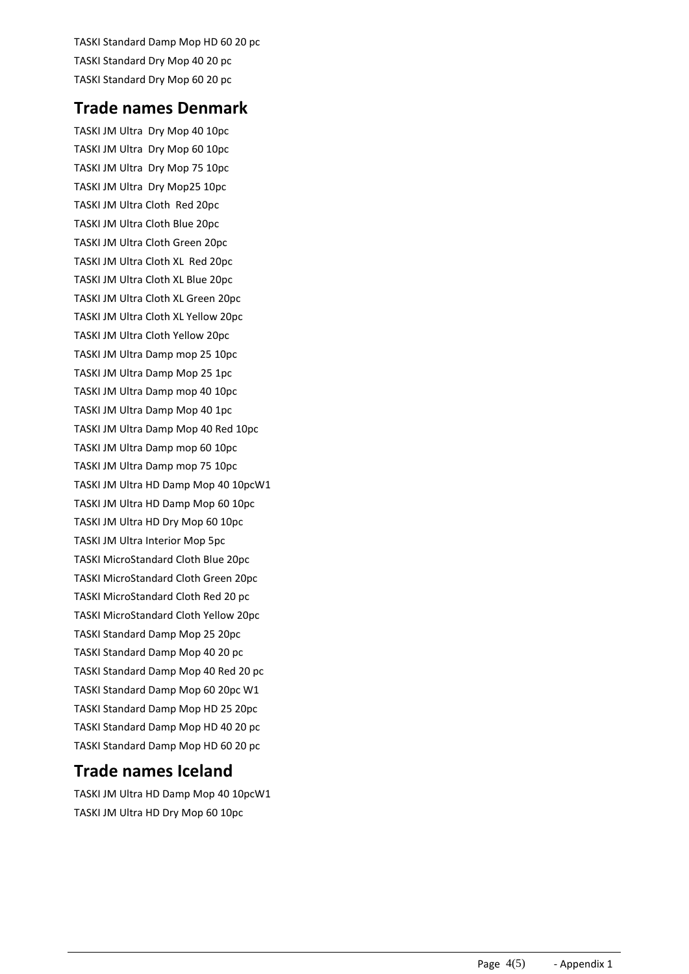TASKI Standard Damp Mop HD 60 20 pc TASKI Standard Dry Mop 40 20 pc TASKI Standard Dry Mop 60 20 pc

### **Trade names Denmark**

TASKI JM Ultra Dry Mop 40 10pc TASKI JM Ultra Dry Mop 60 10pc TASKI JM Ultra Dry Mop 75 10pc TASKI JM Ultra Dry Mop25 10pc TASKI JM Ultra Cloth Red 20pc TASKI JM Ultra Cloth Blue 20pc TASKI JM Ultra Cloth Green 20pc TASKI JM Ultra Cloth XL Red 20pc TASKI JM Ultra Cloth XL Blue 20pc TASKI JM Ultra Cloth XL Green 20pc TASKI JM Ultra Cloth XL Yellow 20pc TASKI JM Ultra Cloth Yellow 20pc TASKI JM Ultra Damp mop 25 10pc TASKI JM Ultra Damp Mop 25 1pc TASKI JM Ultra Damp mop 40 10pc TASKI JM Ultra Damp Mop 40 1pc TASKI JM Ultra Damp Mop 40 Red 10pc TASKI JM Ultra Damp mop 60 10pc TASKI JM Ultra Damp mop 75 10pc TASKI JM Ultra HD Damp Mop 40 10pcW1 TASKI JM Ultra HD Damp Mop 60 10pc TASKI JM Ultra HD Dry Mop 60 10pc TASKI JM Ultra Interior Mop 5pc TASKI MicroStandard Cloth Blue 20pc TASKI MicroStandard Cloth Green 20pc TASKI MicroStandard Cloth Red 20 pc TASKI MicroStandard Cloth Yellow 20pc TASKI Standard Damp Mop 25 20pc TASKI Standard Damp Mop 40 20 pc TASKI Standard Damp Mop 40 Red 20 pc TASKI Standard Damp Mop 60 20pc W1 TASKI Standard Damp Mop HD 25 20pc TASKI Standard Damp Mop HD 40 20 pc TASKI Standard Damp Mop HD 60 20 pc

### **Trade names Iceland**

TASKI JM Ultra HD Damp Mop 40 10pcW1 TASKI JM Ultra HD Dry Mop 60 10pc